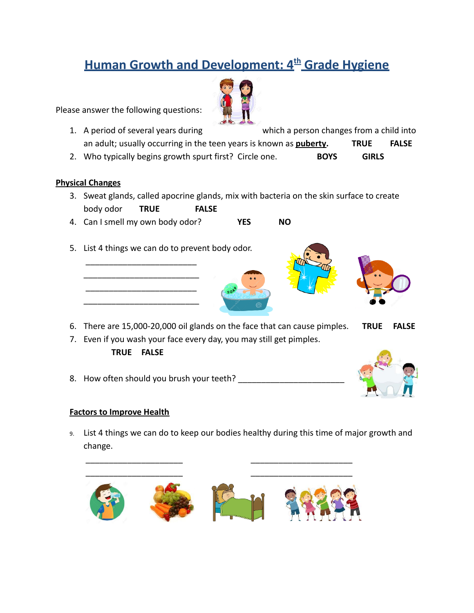## **Human Growth and Development: 4th Grade Hygiene**

Please answer the following questions:

- 1. A period of several years during which a person changes from a child into an adult; usually occurring in the teen years is known as **puberty. TRUE FALSE**
- 2. Who typically begins growth spurt first? Circle one. **BOYS GIRLS**

## **Physical Changes**

- 3. Sweat glands, called apocrine glands, mix with bacteria on the skin surface to create body odor **TRUE FALSE**
- 4. Can I smell my own body odor? **YES NO**
- 5. List 4 things we can do to prevent body odor.

\_\_\_\_\_\_\_\_\_\_\_\_\_\_\_\_\_\_\_\_\_\_\_\_ \_\_\_\_\_\_\_\_\_\_\_\_\_\_\_\_\_\_\_\_\_\_\_\_\_ \_\_\_\_\_\_\_\_\_\_\_\_\_\_\_\_\_\_\_\_\_\_\_\_ \_\_\_\_\_\_\_\_\_\_\_\_\_\_\_\_\_\_\_\_\_\_\_\_\_



- 6. There are 15,000-20,000 oil glands on the face that can cause pimples. **TRUE FALSE**
- 7. Even if you wash your face every day, you may still get pimples.

## **TRUE FALSE**

8. How often should you brush your teeth?



## **Factors to Improve Health**

9. List 4 things we can do to keep our bodies healthy during this time of major growth and change.



\_\_\_\_\_\_\_\_\_\_\_\_\_\_\_\_\_\_\_\_\_ \_\_\_\_\_\_\_\_\_\_\_\_\_\_\_\_\_\_\_\_\_\_